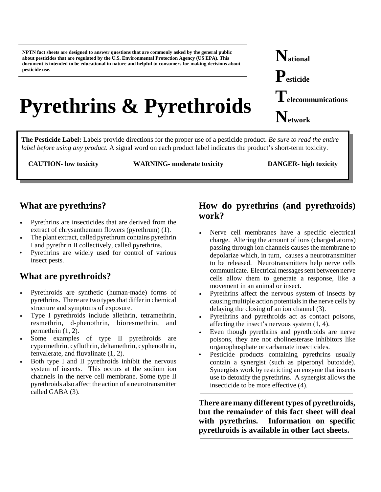**NPTN fact sheets are designed to answer questions that are commonly asked by the general public about pesticides that are regulated by the U.S. Environmental Protection Agency (US EPA). This document is intended to be educational in nature and helpful to consumers for making decisions about pesticide use.**

# **Pyrethrins & Pyrethroids**

**National Pesticide Telecommunications Network**

**The Pesticide Label:** Labels provide directions for the proper use of a pesticide product. *Be sure to read the entire label before using any product.* A signal word on each product label indicates the product's short-term toxicity.

**CAUTION- low toxicity WARNING- moderate toxicity DANGER- high toxicity**

## **What are pyrethrins?**

- Pyrethrins are insecticides that are derived from the extract of chrysanthemum flowers (pyrethrum) (1).
- The plant extract, called pyrethrum contains pyrethrin I and pyrethrin II collectively, called pyrethrins.
- Pyrethrins are widely used for control of various insect pests.

## **What are pyrethroids?**

- Pyrethroids are synthetic (human-made) forms of pyrethrins. There are two types that differ in chemical structure and symptoms of exposure.
- Type I pyrethroids include allethrin, tetramethrin, resmethrin, d-phenothrin, bioresmethrin, and permethrin (1, 2).
- Some examples of type II pyrethroids are cypermethrin, cyfluthrin, deltamethrin, cyphenothrin, fenvalerate, and fluvalinate (1, 2).
- Both type I and II pyrethroids inhibit the nervous system of insects. This occurs at the sodium ion channels in the nerve cell membrane. Some type II pyrethroids also affect the action of a neurotransmitter called GABA (3).

## **How do pyrethrins (and pyrethroids) work?**

- Nerve cell membranes have a specific electrical charge. Altering the amount of ions (charged atoms) passing through ion channels causes the membrane to depolarize which, in turn, causes a neurotransmitter to be released. Neurotransmitters help nerve cells communicate. Electrical messages sent between nerve cells allow them to generate a response, like a movement in an animal or insect.
- Pyrethrins affect the nervous system of insects by causing multiple action potentials in the nerve cells by delaying the closing of an ion channel (3).
- Pyrethrins and pyrethroids act as contact poisons, affecting the insect's nervous system (1, 4).
- Even though pyrethrins and pyrethroids are nerve poisons, they are not cholinesterase inhibitors like organophosphate or carbamate insecticides.
- Pesticide products containing pyrethrins usually contain a synergist (such as piperonyl butoxide). Synergists work by restricting an enzyme that insects use to detoxify the pyrethrins. A synergist allows the insecticide to be more effective (4).

**There are many different types of pyrethroids, but the remainder of this fact sheet will deal with pyrethrins. Information on specific pyrethroids is available in other fact sheets.**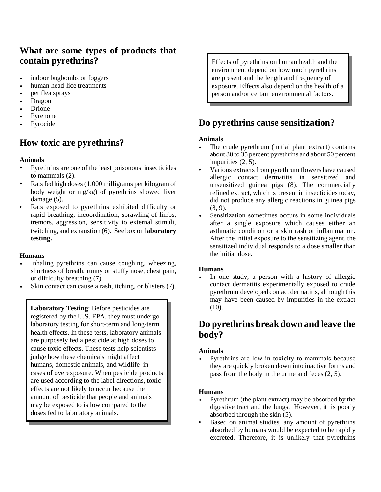## **What are some types of products that contain pyrethrins?**

- indoor bugbombs or foggers
- human head-lice treatments
- pet flea sprays
- **Dragon**
- Drione
- Pyrenone
- Pyrocide

# **How toxic are pyrethrins?**

#### **Animals**

- Pyrethrins are one of the least poisonous insecticides to mammals (2).
- Rats fed high doses (1,000 milligrams per kilogram of body weight or mg/kg) of pyrethrins showed liver damage  $(5)$ .
- **•** Rats exposed to pyrethrins exhibited difficulty or rapid breathing, incoordination, sprawling of limbs, tremors, aggression, sensitivity to external stimuli, twitching, and exhaustion (6). See box on **laboratory testing.**

#### **Humans**

- Inhaling pyrethrins can cause coughing, wheezing, shortness of breath, runny or stuffy nose, chest pain, or difficulty breathing (7).
- Skin contact can cause a rash, itching, or blisters (7).

**Laboratory Testing**: Before pesticides are registered by the U.S. EPA, they must undergo laboratory testing for short-term and long-term health effects. In these tests, laboratory animals are purposely fed a pesticide at high doses to cause toxic effects. These tests help scientists judge how these chemicals might affect humans, domestic animals, and wildlife in cases of overexposure. When pesticide products are used according to the label directions, toxic effects are not likely to occur because the amount of pesticide that people and animals may be exposed to is low compared to the doses fed to laboratory animals.

Effects of pyrethrins on human health and the environment depend on how much pyrethrins are present and the length and frequency of exposure. Effects also depend on the health of a person and/or certain environmental factors.

## **Do pyrethrins cause sensitization?**

#### **Animals**

- The crude pyrethrum (initial plant extract) contains about 30 to 35 percent pyrethrins and about 50 percent impurities (2, 5).
- Various extracts from pyrethrum flowers have caused allergic contact dermatitis in sensitized and unsensitized guinea pigs (8). The commercially refined extract, which is present in insecticides today, did not produce any allergic reactions in guinea pigs (8, 9).
- Sensitization sometimes occurs in some individuals after a single exposure which causes either an asthmatic condition or a skin rash or inflammation. After the initial exposure to the sensitizing agent, the sensitized individual responds to a dose smaller than the initial dose.

#### **Humans**

In one study, a person with a history of allergic contact dermatitis experimentally exposed to crude pyrethrum developed contact dermatitis, although this may have been caused by impurities in the extract (10).

## **Do pyrethrins break down and leave the body?**

#### **Animals**

Pyrethrins are low in toxicity to mammals because they are quickly broken down into inactive forms and pass from the body in the urine and feces (2, 5).

#### **Humans**

- Pyrethrum (the plant extract) may be absorbed by the digestive tract and the lungs. However, it is poorly absorbed through the skin (5).
- Based on animal studies, any amount of pyrethrins absorbed by humans would be expected to be rapidly excreted. Therefore, it is unlikely that pyrethrins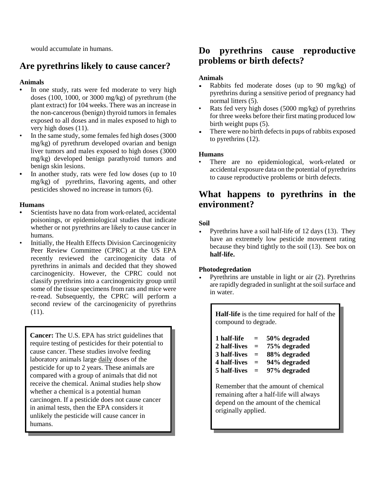would accumulate in humans.

# **Are pyrethrins likely to cause cancer?**

### **Animals**

- **•** In one study, rats were fed moderate to very high doses (100, 1000, or 3000 mg/kg) of pyrethrum (the plant extract) for 104 weeks. There was an increase in the non-cancerous (benign) thyroid tumors in females exposed to all doses and in males exposed to high to very high doses (11).
- In the same study, some females fed high doses (3000 mg/kg) of pyrethrum developed ovarian and benign liver tumors and males exposed to high doses (3000 mg/kg) developed benign parathyroid tumors and benign skin lesions.
- In another study, rats were fed low doses (up to 10) mg/kg) of pyrethrins, flavoring agents, and other pesticides showed no increase in tumors (6).

#### **Humans**

- **•** Scientists have no data from work-related, accidental poisonings, or epidemiological studies that indicate whether or not pyrethrins are likely to cause cancer in humans.
- Initially, the Health Effects Division Carcinogenicity Peer Review Committee (CPRC) at the US EPA recently reviewed the carcinogenicity data of pyrethrins in animals and decided that they showed carcinogenicity. However, the CPRC could not classify pyrethrins into a carcinogenicity group until some of the tissue specimens from rats and mice were re-read. Subsequently, the CPRC will perform a second review of the carcinogenicity of pyrethrins (11).

**Cancer:** The U.S. EPA has strict guidelines that require testing of pesticides for their potential to cause cancer. These studies involve feeding laboratory animals large daily doses of the pesticide for up to 2 years. These animals are compared with a group of animals that did not receive the chemical. Animal studies help show whether a chemical is a potential human carcinogen. If a pesticide does not cause cancer in animal tests, then the EPA considers it unlikely the pesticide will cause cancer in humans.

## **Do pyrethrins cause reproductive problems or birth defects?**

#### **Animals**

- Rabbits fed moderate doses (up to 90 mg/kg) of pyrethrins during a sensitive period of pregnancy had normal litters (5).
- Rats fed very high doses (5000 mg/kg) of pyrethrins for three weeks before their first mating produced low birth weight pups (5).
- There were no birth defects in pups of rabbits exposed to pyrethrins (12).

#### **Humans**

There are no epidemiological, work-related or accidental exposure data on the potential of pyrethrins to cause reproductive problems or birth defects.

## **What happens to pyrethrins in the environment?**

#### **Soil**

• Pyrethrins have a soil half-life of  $12 \text{ days}$  (13). They have an extremely low pesticide movement rating because they bind tightly to the soil (13). See box on **half-life.**

#### **Photodegredation**

Pyrethrins are unstable in light or air (2). Pyrethrins are rapidly degraded in sunlight at the soil surface and in water.

**Half-life** is the time required for half of the compound to degrade.

| 1 half-life  | $=$ | 50% degraded |
|--------------|-----|--------------|
| 2 half-lives | $=$ | 75% degraded |
| 3 half-lives | $=$ | 88% degraded |
| 4 half-lives | $=$ | 94% degraded |
| 5 half-lives | $=$ | 97% degraded |

Remember that the amount of chemical remaining after a half-life will always depend on the amount of the chemical originally applied.